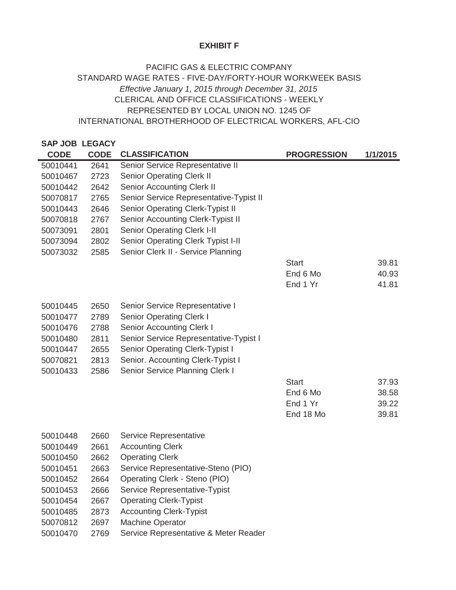## **EXHIBIT F**

## REPRESENTED BY LOCAL UNION NO. 1245 OF INTERNATIONAL BROTHERHOOD OF ELECTRICAL WORKERS, AFL-CIO PACIFIC GAS & ELECTRIC COMPANY STANDARD WAGE RATES - FIVE-DAY/FORTY-HOUR WORKWEEK BASIS *Effective January 1, 2015 through December 31, 2015* CLERICAL AND OFFICE CLASSIFICATIONS - WEEKLY

## **SAP JOB LEGACY**  CODE CODE CLASSIFICATION **PROGRESSION** 1/1/2015 50010441 2641 50010467 2723 50010442 2642 50070817 2765 50010443 2646 50070818 2767 50073091 2801 50073094 2802 50073032 2585 Start 39.81 End 6 Mo 40.93 End 1 Yr 41.81 50010445 2650 50010477 2789 50010476 2788 50010480 2811 50010447 2655 50070821 2813 50010433 2586 Start 37.93 End 6 Mo 38.58 End 1 Yr 39.22 End 18 Mo 39.81 50010448 2660 50010449 2661 50010450 2662 50010451 2663 50010452 2664 50010453 2666 50010454 2667 50010485 2873 50070812 2697 Accounting Clerk-Typist Machine Operator Operating Clerk Service Representative-Steno (PIO) Operating Clerk - Steno (PIO) Service Representative-Typist Operating Clerk-Typist Service Representative Accounting Clerk Senior Operating Clerk I-II Senior Operating Clerk Typist I-II Senior Service Representative-Typist I Senior Operating Clerk-Typist I Senior. Accounting Clerk-Typist I Senior Service Planning Clerk I Senior Service Representative I Senior Operating Clerk I Senior Accounting Clerk I Senior Clerk II - Service Planning Senior Service Representative-Typist II Senior Operating Clerk-Typist II Senior Accounting Clerk-Typist II Senior Service Representative II Senior Operating Clerk II Senior Accounting Clerk II

Service Representative & Meter Reader

50010470 2769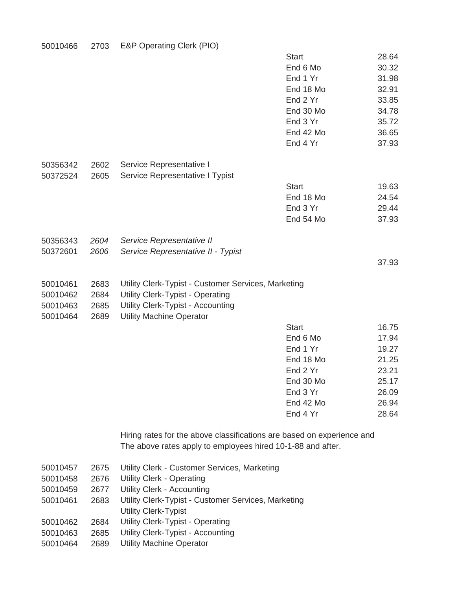| 50010466 | 2703 | E&P Operating Clerk (PIO) |
|----------|------|---------------------------|
|----------|------|---------------------------|

|          |      |                                                                        | <b>Start</b> | 28.64 |
|----------|------|------------------------------------------------------------------------|--------------|-------|
|          |      |                                                                        | End 6 Mo     | 30.32 |
|          |      |                                                                        | End 1 Yr     | 31.98 |
|          |      |                                                                        | End 18 Mo    | 32.91 |
|          |      |                                                                        | End 2 Yr     | 33.85 |
|          |      |                                                                        | End 30 Mo    | 34.78 |
|          |      |                                                                        | End 3 Yr     | 35.72 |
|          |      |                                                                        | End 42 Mo    | 36.65 |
|          |      |                                                                        | End 4 Yr     | 37.93 |
| 50356342 | 2602 | Service Representative I                                               |              |       |
| 50372524 | 2605 | Service Representative I Typist                                        |              |       |
|          |      |                                                                        | <b>Start</b> | 19.63 |
|          |      |                                                                        | End 18 Mo    | 24.54 |
|          |      |                                                                        | End 3 Yr     | 29.44 |
|          |      |                                                                        | End 54 Mo    | 37.93 |
| 50356343 | 2604 | Service Representative II                                              |              |       |
| 50372601 | 2606 | Service Representative II - Typist                                     |              |       |
|          |      |                                                                        |              | 37.93 |
| 50010461 | 2683 | Utility Clerk-Typist - Customer Services, Marketing                    |              |       |
| 50010462 | 2684 | <b>Utility Clerk-Typist - Operating</b>                                |              |       |
| 50010463 | 2685 | Utility Clerk-Typist - Accounting                                      |              |       |
| 50010464 | 2689 | <b>Utility Machine Operator</b>                                        |              |       |
|          |      |                                                                        | <b>Start</b> | 16.75 |
|          |      |                                                                        | End 6 Mo     | 17.94 |
|          |      |                                                                        | End 1 Yr     | 19.27 |
|          |      |                                                                        | End 18 Mo    | 21.25 |
|          |      |                                                                        | End 2 Yr     | 23.21 |
|          |      |                                                                        | End 30 Mo    | 25.17 |
|          |      |                                                                        | End 3 Yr     | 26.09 |
|          |      |                                                                        | End 42 Mo    | 26.94 |
|          |      |                                                                        | End 4 Yr     | 28.64 |
|          |      | Hiring rates for the above classifications are based on experience and |              |       |
|          |      | The above rates apply to employees hired 10-1-88 and after.            |              |       |
| 50010457 | 2675 | Utility Clerk - Customer Services, Marketing                           |              |       |
| 50010458 | 2676 | <b>Utility Clerk - Operating</b>                                       |              |       |
| 50010459 | 2677 | <b>Utility Clerk - Accounting</b>                                      |              |       |
| 50010461 | 2683 | Utility Clerk-Typist - Customer Services, Marketing                    |              |       |
|          |      | <b>Utility Clerk-Typist</b>                                            |              |       |
| 50010462 | 2684 | <b>Utility Clerk-Typist - Operating</b>                                |              |       |
| 50010463 | 2685 | Utility Clerk-Typist - Accounting                                      |              |       |

50010463 2685 50010464 2689 Utility Machine Operator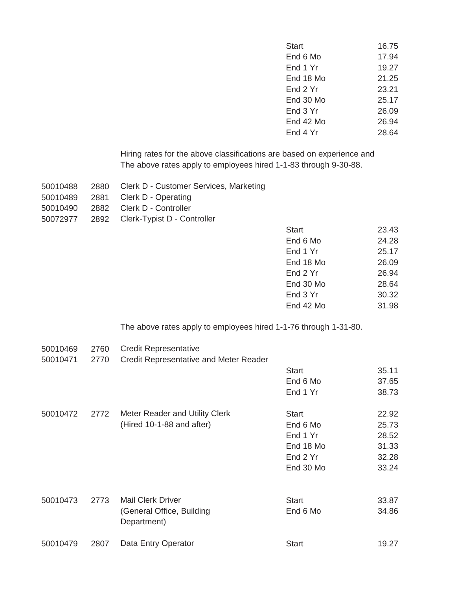| <b>Start</b> | 16.75 |
|--------------|-------|
| End 6 Mo     | 17.94 |
| End 1 Yr     | 19.27 |
| End 18 Mo    | 21.25 |
| End 2 Yr     | 23.21 |
| End $30$ Mo  | 25.17 |
| End 3 Yr     | 26.09 |
| End $42$ Mo  | 26.94 |
| End 4 Yr     | 28.64 |

The above rates apply to employees hired 1-1-83 through 9-30-88. Hiring rates for the above classifications are based on experience and

|  | 50010488 2880 Clerk D - Customer Services, Marketing |
|--|------------------------------------------------------|
|  | 50010489 2881 Clerk D - Operating                    |
|  | 50010490 2882 Clerk D - Controller                   |
|  | 50072977 2892 Clerk-Typist D - Controller            |

| <b>Start</b> | 23.43 |
|--------------|-------|
| End 6 Mo     | 24.28 |
| End 1 Yr     | 25.17 |
| End 18 Mo    | 26.09 |
| End 2 Yr     | 26.94 |
| End 30 Mo    | 28.64 |
| End 3 Yr     | 30.32 |
| End 42 Mo    | 31.98 |

The above rates apply to employees hired 1-1-76 through 1-31-80.

| 50010469 | 2760 | <b>Credit Representative</b>             |              |       |
|----------|------|------------------------------------------|--------------|-------|
| 50010471 | 2770 | Credit Representative and Meter Reader   |              |       |
|          |      |                                          | <b>Start</b> | 35.11 |
|          |      |                                          | End 6 Mo     | 37.65 |
|          |      |                                          | End 1 Yr     | 38.73 |
| 50010472 | 2772 | Meter Reader and Utility Clerk           | <b>Start</b> | 22.92 |
|          |      | (Hired 10-1-88 and after)                | End 6 Mo     | 25.73 |
|          |      |                                          | End 1 Yr     | 28.52 |
|          |      |                                          | End 18 Mo    | 31.33 |
|          |      |                                          | End 2 Yr     | 32.28 |
|          |      |                                          | End 30 Mo    | 33.24 |
|          |      | <b>Mail Clerk Driver</b>                 |              |       |
| 50010473 | 2773 |                                          | <b>Start</b> | 33.87 |
|          |      | (General Office, Building<br>Department) | End 6 Mo     | 34.86 |
| 50010479 | 2807 | Data Entry Operator                      | <b>Start</b> | 19.27 |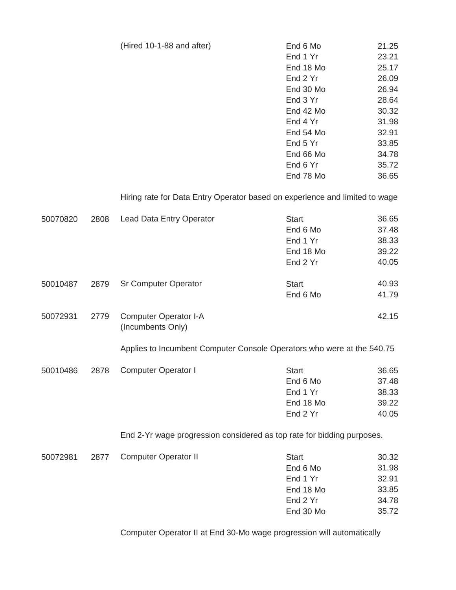| (Hired 10-1-88 and after) | End 6 Mo  | 21.25 |
|---------------------------|-----------|-------|
|                           | End 1 Yr  | 23.21 |
|                           | End 18 Mo | 25.17 |
|                           | End 2 Yr  | 26.09 |
|                           | End 30 Mo | 26.94 |
|                           | End 3 Yr  | 28.64 |
|                           | End 42 Mo | 30.32 |
|                           | End 4 Yr  | 31.98 |
|                           | End 54 Mo | 32.91 |
|                           | End 5 Yr  | 33.85 |
|                           | End 66 Mo | 34.78 |
|                           | End 6 Yr  | 35.72 |
|                           | End 78 Mo | 36.65 |
|                           |           |       |

Hiring rate for Data Entry Operator based on experience and limited to wage

| 50070820 | 2808 | <b>Lead Data Entry Operator</b>                                        | <b>Start</b><br>End 6 Mo<br>End 1 Yr<br>End 18 Mo<br>End 2 Yr              | 36.65<br>37.48<br>38.33<br>39.22<br>40.05          |
|----------|------|------------------------------------------------------------------------|----------------------------------------------------------------------------|----------------------------------------------------|
| 50010487 | 2879 | <b>Sr Computer Operator</b>                                            | <b>Start</b><br>End 6 Mo                                                   | 40.93<br>41.79                                     |
| 50072931 | 2779 | <b>Computer Operator I-A</b><br>(Incumbents Only)                      |                                                                            | 42.15                                              |
|          |      | Applies to Incumbent Computer Console Operators who were at the 540.75 |                                                                            |                                                    |
| 50010486 | 2878 | <b>Computer Operator I</b>                                             | <b>Start</b><br>End 6 Mo<br>End 1 Yr<br>End 18 Mo<br>End 2 Yr              | 36.65<br>37.48<br>38.33<br>39.22<br>40.05          |
|          |      | End 2-Yr wage progression considered as top rate for bidding purposes. |                                                                            |                                                    |
| 50072981 | 2877 | <b>Computer Operator II</b>                                            | <b>Start</b><br>End 6 Mo<br>End 1 Yr<br>End 18 Mo<br>End 2 Yr<br>End 30 Mo | 30.32<br>31.98<br>32.91<br>33.85<br>34.78<br>35.72 |

Computer Operator II at End 30-Mo wage progression will automatically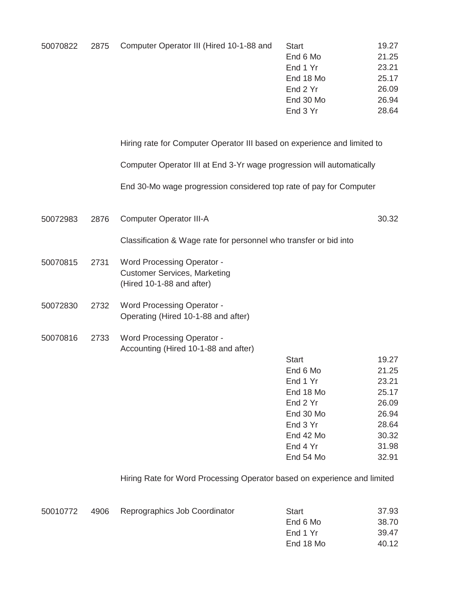| 50070822<br>2875 | Computer Operator III (Hired 10-1-88 and | <b>Start</b> | 19.27     |       |
|------------------|------------------------------------------|--------------|-----------|-------|
|                  |                                          | End 6 Mo     | 21.25     |       |
|                  |                                          |              | End 1 Yr  | 23.21 |
|                  |                                          |              | End 18 Mo | 25.17 |
|                  |                                          |              | End 2 Yr  | 26.09 |
|                  |                                          |              | End 30 Mo | 26.94 |
|                  |                                          |              | End 3 Yr  | 28.64 |

Hiring rate for Computer Operator III based on experience and limited to

Computer Operator III at End 3-Yr wage progression will automatically

End 30-Mo wage progression considered top rate of pay for Computer

50072983 2876 30.32 Computer Operator III-A

Classification & Wage rate for personnel who transfer or bid into

- 50070815 2731 Word Processing Operator - Customer Services, Marketing (Hired 10-1-88 and after)
- 50072830 2732 Word Processing Operator - Operating (Hired 10-1-88 and after)
- 50070816 2733 Word Processing Operator - Accounting (Hired 10-1-88 and after)

| Start     | 19.27 |
|-----------|-------|
| End 6 Mo  | 21.25 |
| End 1 Yr  | 23.21 |
| End 18 Mo | 25.17 |
| Fnd 2 Yr  | 26.09 |
| End 30 Mo | 26.94 |
| End 3 Yr  | 28.64 |
| Fnd 42 Mo | 30.32 |
| End 4 Yr  | 31.98 |
| Fnd 54 Mo | 32.91 |
|           |       |

Hiring Rate for Word Processing Operator based on experience and limited

| 50010772 | 4906 | Reprographics Job Coordinator | Start     | 37.93 |
|----------|------|-------------------------------|-----------|-------|
|          |      |                               | End 6 Mo  | 38.70 |
|          |      |                               | End 1 Yr  | 39.47 |
|          |      |                               | End 18 Mo | 40.12 |